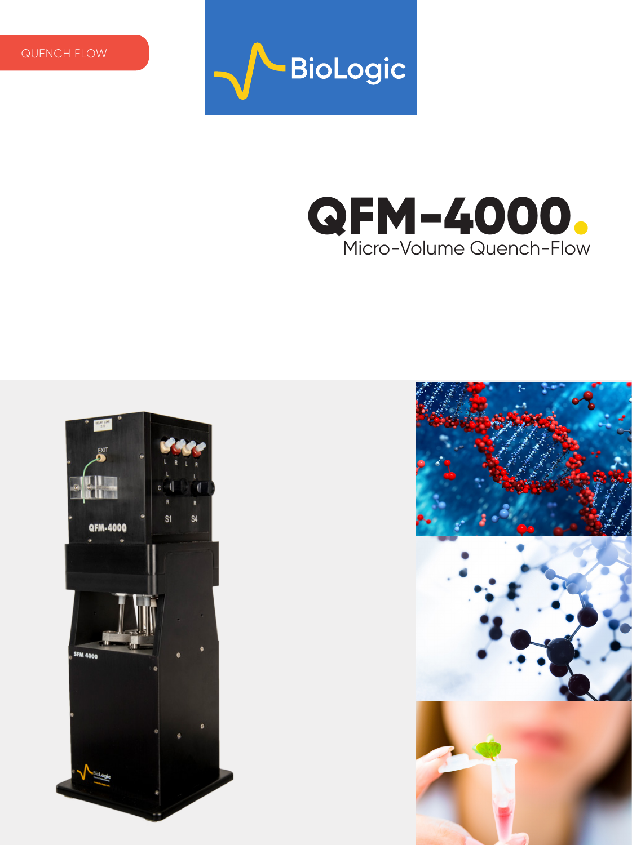







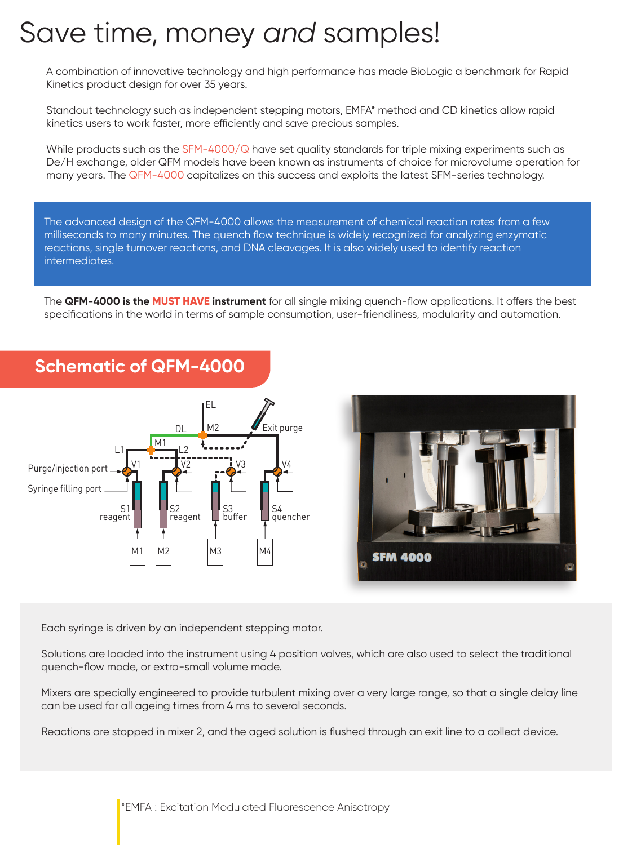## Save time, money *and* samples!

A combination of innovative technology and high performance has made BioLogic a benchmark for Rapid Kinetics product design for over 35 years.

Standout technology such as independent stepping motors, EMFA\* method and CD kinetics allow rapid kinetics users to work faster, more efficiently and save precious samples.

While products such as the  $SFM-4000/Q$  have set quality standards for triple mixing experiments such as De/H exchange, older QFM models have been known as instruments of choice for microvolume operation for many years. The QFM-4000 capitalizes on this success and exploits the latest SFM-series technology.

The advanced design of the QFM-4000 allows the measurement of chemical reaction rates from a few milliseconds to many minutes. The quench flow technique is widely recognized for analyzing enzymatic reactions, single turnover reactions, and DNA cleavages. It is also widely used to identify reaction intermediates.

The **QFM-4000 is the MUST HAVE instrument** for all single mixing quench-flow applications. It offers the best specifications in the world in terms of sample consumption, user-friendliness, modularity and automation.





#### **Schematic of QFM-4000**

Each syringe is driven by an independent stepping motor.

Solutions are loaded into the instrument using 4 position valves, which are also used to select the traditional quench-flow mode, or extra-small volume mode.

Mixers are specially engineered to provide turbulent mixing over a very large range, so that a single delay line can be used for all ageing times from 4 ms to several seconds.

Reactions are stopped in mixer 2, and the aged solution is flushed through an exit line to a collect device.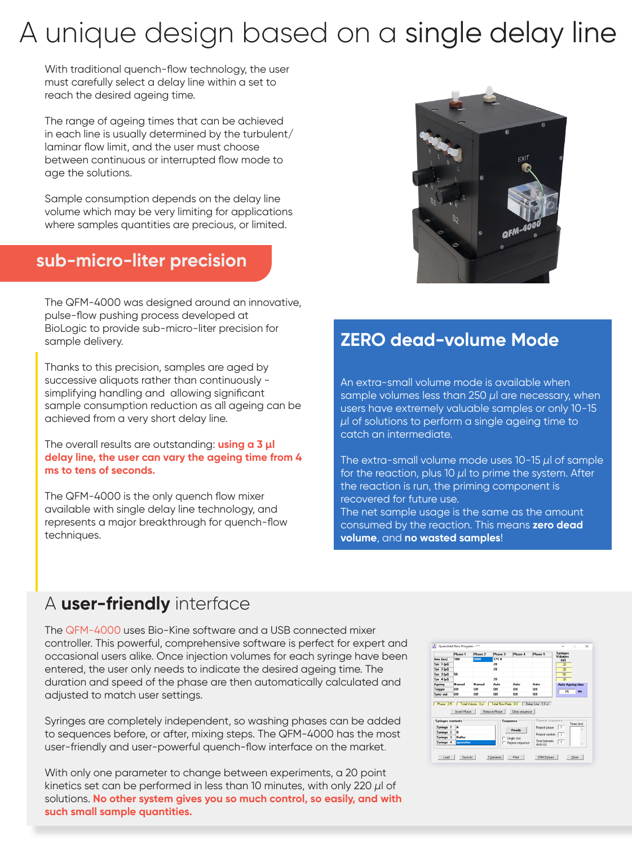## A unique design based on a single delay line

With traditional quench-flow technology, the user must carefully select a delay line within a set to reach the desired ageing time.

The range of ageing times that can be achieved in each line is usually determined by the turbulent/ laminar flow limit, and the user must choose between continuous or interrupted flow mode to age the solutions.

Sample consumption depends on the delay line volume which may be very limiting for applications where samples quantities are precious, or limited.

#### **sub-micro-liter precision**

The QFM-4000 was designed around an innovative, pulse-flow pushing process developed at BioLogic to provide sub-micro-liter precision for sample delivery.

Thanks to this precision, samples are aged by successive aliquots rather than continuously simplifying handling and allowing significant sample consumption reduction as all ageing can be achieved from a very short delay line.

The overall results are outstanding: **using a 3 µl delay line, the user can vary the ageing time from 4 ms to tens of seconds.** 

The QFM-4000 is the only quench flow mixer available with single delay line technology, and represents a major breakthrough for quench-flow techniques.



### **ZERO dead-volume Mode**

An extra-small volume mode is available when sample volumes less than 250 *µ*l are necessary, when users have extremely valuable samples or only 10-15 *µ*l of solutions to perform a single ageing time to catch an intermediate.

The extra-small volume mode uses 10-15 *µ*l of sample for the reaction, plus 10 *µ*l to prime the system. After the reaction is run, the priming component is recovered for future use.

The net sample usage is the same as the amount consumed by the reaction. This means **zero dead volume**, and **no wasted samples**!

#### A **user-friendly** interface

The QFM-4000 uses Bio-Kine software and a USB connected mixer controller. This powerful, comprehensive software is perfect for expert and occasional users alike. Once injection volumes for each syringe have been entered, the user only needs to indicate the desired ageing time. The duration and speed of the phase are then automatically calculated and adjusted to match user settings.

Syringes are completely independent, so washing phases can be added to sequences before, or after, mixing steps. The QFM-4000 has the most user-friendly and user-powerful quench-flow interface on the market.

With only one parameter to change between experiments, a 20 point kinetics set can be performed in less than 10 minutes, with only 220 *µ*l of solutions. **No other system gives you so much control, so easily, and with such small sample quantities.**

|                                                             | Phase 1           | Phase 2                                             | Phase 3                        | Phase 4                | Phase 5                       | <b>Syringes</b><br><b>Volumes</b> |
|-------------------------------------------------------------|-------------------|-----------------------------------------------------|--------------------------------|------------------------|-------------------------------|-----------------------------------|
| time (ms)                                                   | 100               | 2000                                                | 1714                           |                        |                               | full                              |
| Syr. 1 [µ1]                                                 |                   |                                                     | 20                             |                        |                               | $\overline{20}$                   |
| Sw. 2 (ul)                                                  |                   |                                                     | 2n                             |                        |                               | $\overline{20}$                   |
| Syr. 3 full                                                 | 50                |                                                     |                                |                        |                               | 50                                |
| Sw. 4 [µ]]                                                  |                   |                                                     | 20                             |                        |                               | $\overline{20}$                   |
| Ageing                                                      | Manual            | Manual                                              | Auto                           | Auto                   | Auto                          | <b>Auto Ageing time</b>           |
|                                                             |                   |                                                     |                                |                        |                               |                                   |
|                                                             | nff               | <b>n</b> ff                                         | <b>Off</b>                     | <b>n</b> ff            | <b>Off</b>                    |                                   |
| Phase: 2/5                                                  | n#<br>Inset Phase | $0$ ff<br>Total Volume : 0 ul Total Flow Rate : 0.0 | $0$ ff<br><b>Bernove Phase</b> | Off<br>Стеат зеднегосе | $0$ ff<br>Delay Line: 3.5 ul  | 15<br>mx                          |
|                                                             |                   |                                                     |                                | Sequence               | Repeat sequence               |                                   |
| Syringe 1                                                   | ٨                 |                                                     |                                |                        |                               | Times (ms)<br>1                   |
| Svringe 2                                                   | B                 |                                                     |                                | Ready                  | Repeat phase                  |                                   |
| Trigger<br>Sync out<br><b>Swinges contents</b><br>Suringe 3 | <b>Buffer</b>     |                                                     |                                | Single shot            | Repeat number<br>Time between | 1                                 |